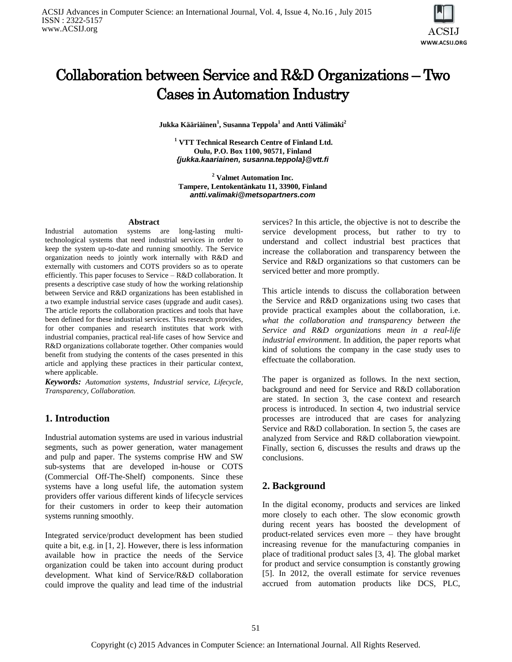

# Collaboration between Service and R&D Organizations – Two Cases in Automation Industry

**Jukka Kääriäinen<sup>1</sup> , Susanna Teppola<sup>1</sup> and Antti Välimäki<sup>2</sup>**

**<sup>1</sup> VTT Technical Research Centre of Finland Ltd. Oulu, P.O. Box 1100, 90571, Finland** *[{jukka.kaariainen,](mailto:jukka.kaariainen) susanna.teppola[}@vtt.fi](mailto:susanna.teppola,%20matias.vierimaa%7d@vtt.fi)*

**<sup>2</sup> Valmet Automation Inc. Tampere, Lentokentänkatu 11, 33900, Finland** *antti.valimaki@metsopartners.com*

#### **Abstract**

Industrial automation systems are long-lasting multitechnological systems that need industrial services in order to keep the system up-to-date and running smoothly. The Service organization needs to jointly work internally with R&D and externally with customers and COTS providers so as to operate efficiently. This paper focuses to Service – R&D collaboration. It presents a descriptive case study of how the working relationship between Service and R&D organizations has been established in a two example industrial service cases (upgrade and audit cases). The article reports the collaboration practices and tools that have been defined for these industrial services. This research provides, for other companies and research institutes that work with industrial companies, practical real-life cases of how Service and R&D organizations collaborate together. Other companies would benefit from studying the contents of the cases presented in this article and applying these practices in their particular context, where applicable.

*Keywords: Automation systems, Industrial service, Lifecycle, Transparency, Collaboration.*

# **1. Introduction**

Industrial automation systems are used in various industrial segments, such as power generation, water management and pulp and paper. The systems comprise HW and SW sub-systems that are developed in-house or COTS (Commercial Off-The-Shelf) components. Since these systems have a long useful life, the automation system providers offer various different kinds of lifecycle services for their customers in order to keep their automation systems running smoothly.

Integrated service/product development has been studied quite a bit, e.g. in [1, 2]. However, there is less information available how in practice the needs of the Service organization could be taken into account during product development. What kind of Service/R&D collaboration could improve the quality and lead time of the industrial

services? In this article, the objective is not to describe the service development process, but rather to try to understand and collect industrial best practices that increase the collaboration and transparency between the Service and R&D organizations so that customers can be serviced better and more promptly.

This article intends to discuss the collaboration between the Service and R&D organizations using two cases that provide practical examples about the collaboration, i.e. *what the collaboration and transparency between the Service and R&D organizations mean in a real-life industrial environment*. In addition, the paper reports what kind of solutions the company in the case study uses to effectuate the collaboration.

The paper is organized as follows. In the next section, background and need for Service and R&D collaboration are stated. In section 3, the case context and research process is introduced. In section 4, two industrial service processes are introduced that are cases for analyzing Service and R&D collaboration. In section 5, the cases are analyzed from Service and R&D collaboration viewpoint. Finally, section 6, discusses the results and draws up the conclusions.

# **2. Background**

In the digital economy, products and services are linked more closely to each other. The slow economic growth during recent years has boosted the development of product-related services even more – they have brought increasing revenue for the manufacturing companies in place of traditional product sales [3, 4]. The global market for product and service consumption is constantly growing [5]. In 2012, the overall estimate for service revenues accrued from automation products like DCS, PLC,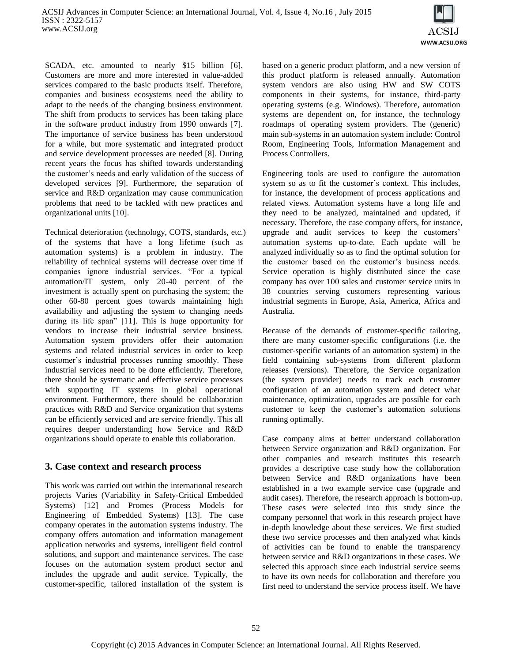

SCADA, etc. amounted to nearly \$15 billion [6]. Customers are more and more interested in value-added services compared to the basic products itself. Therefore, companies and business ecosystems need the ability to adapt to the needs of the changing business environment. The shift from products to services has been taking place in the software product industry from 1990 onwards [7]. The importance of service business has been understood for a while, but more systematic and integrated product and service development processes are needed [8]. During recent years the focus has shifted towards understanding the customer's needs and early validation of the success of developed services [9]. Furthermore, the separation of service and R&D organization may cause communication problems that need to be tackled with new practices and organizational units [10].

Technical deterioration (technology, COTS, standards, etc.) of the systems that have a long lifetime (such as automation systems) is a problem in industry. The reliability of technical systems will decrease over time if companies ignore industrial services. "For a typical automation/IT system, only 20-40 percent of the investment is actually spent on purchasing the system; the other 60-80 percent goes towards maintaining high availability and adjusting the system to changing needs during its life span" [11]. This is huge opportunity for vendors to increase their industrial service business. Automation system providers offer their automation systems and related industrial services in order to keep customer's industrial processes running smoothly. These industrial services need to be done efficiently. Therefore, there should be systematic and effective service processes with supporting IT systems in global operational environment. Furthermore, there should be collaboration practices with R&D and Service organization that systems can be efficiently serviced and are service friendly. This all requires deeper understanding how Service and R&D organizations should operate to enable this collaboration.

# **3. Case context and research process**

This work was carried out within the international research projects Varies (Variability in Safety-Critical Embedded Systems) [12] and Promes (Process Models for Engineering of Embedded Systems) [13]. The case company operates in the automation systems industry. The company offers automation and information management application networks and systems, intelligent field control solutions, and support and maintenance services. The case focuses on the automation system product sector and includes the upgrade and audit service. Typically, the customer-specific, tailored installation of the system is

based on a generic product platform, and a new version of this product platform is released annually. Automation system vendors are also using HW and SW COTS components in their systems, for instance, third-party operating systems (e.g. Windows). Therefore, automation systems are dependent on, for instance, the technology roadmaps of operating system providers. The (generic) main sub-systems in an automation system include: Control Room, Engineering Tools, Information Management and Process Controllers.

Engineering tools are used to configure the automation system so as to fit the customer's context. This includes, for instance, the development of process applications and related views. Automation systems have a long life and they need to be analyzed, maintained and updated, if necessary. Therefore, the case company offers, for instance, upgrade and audit services to keep the customers' automation systems up-to-date. Each update will be analyzed individually so as to find the optimal solution for the customer based on the customer's business needs. Service operation is highly distributed since the case company has over 100 sales and customer service units in 38 countries serving customers representing various industrial segments in Europe, Asia, America, Africa and Australia.

Because of the demands of customer-specific tailoring, there are many customer-specific configurations (i.e. the customer-specific variants of an automation system) in the field containing sub-systems from different platform releases (versions). Therefore, the Service organization (the system provider) needs to track each customer configuration of an automation system and detect what maintenance, optimization, upgrades are possible for each customer to keep the customer's automation solutions running optimally.

Case company aims at better understand collaboration between Service organization and R&D organization. For other companies and research institutes this research provides a descriptive case study how the collaboration between Service and R&D organizations have been established in a two example service case (upgrade and audit cases). Therefore, the research approach is bottom-up. These cases were selected into this study since the company personnel that work in this research project have in-depth knowledge about these services. We first studied these two service processes and then analyzed what kinds of activities can be found to enable the transparency between service and R&D organizations in these cases. We selected this approach since each industrial service seems to have its own needs for collaboration and therefore you first need to understand the service process itself. We have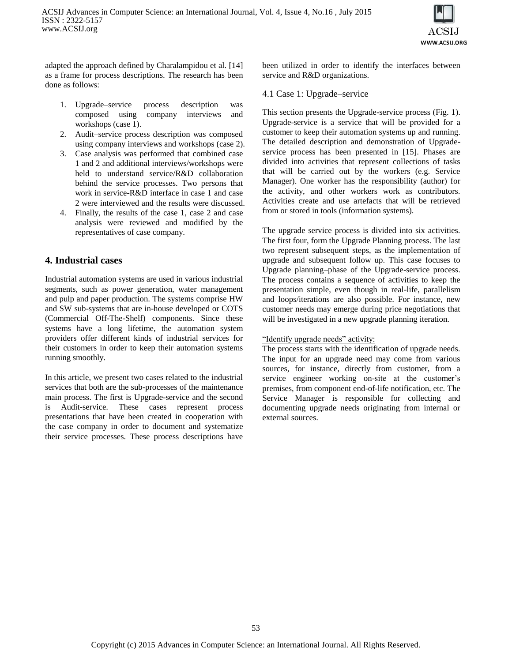

adapted the approach defined by Charalampidou et al. [14] as a frame for process descriptions. The research has been done as follows:

- 1. Upgrade–service process description was composed using company interviews and workshops (case 1).
- 2. Audit–service process description was composed using company interviews and workshops (case 2).
- 3. Case analysis was performed that combined case 1 and 2 and additional interviews/workshops were held to understand service/R&D collaboration behind the service processes. Two persons that work in service-R&D interface in case 1 and case 2 were interviewed and the results were discussed.
- 4. Finally, the results of the case 1, case 2 and case analysis were reviewed and modified by the representatives of case company.

# **4. Industrial cases**

Industrial automation systems are used in various industrial segments, such as power generation, water management and pulp and paper production. The systems comprise HW and SW sub-systems that are in-house developed or COTS (Commercial Off-The-Shelf) components. Since these systems have a long lifetime, the automation system providers offer different kinds of industrial services for their customers in order to keep their automation systems running smoothly.

In this article, we present two cases related to the industrial services that both are the sub-processes of the maintenance main process. The first is Upgrade-service and the second is Audit-service. These cases represent process presentations that have been created in cooperation with the case company in order to document and systematize their service processes. These process descriptions have

been utilized in order to identify the interfaces between service and R&D organizations.

## 4.1 Case 1: Upgrade–service

This section presents the Upgrade-service process (Fig. 1). Upgrade-service is a service that will be provided for a customer to keep their automation systems up and running. The detailed description and demonstration of Upgradeservice process has been presented in [15]. Phases are divided into activities that represent collections of tasks that will be carried out by the workers (e.g. Service Manager). One worker has the responsibility (author) for the activity, and other workers work as contributors. Activities create and use artefacts that will be retrieved from or stored in tools (information systems).

The upgrade service process is divided into six activities. The first four, form the Upgrade Planning process. The last two represent subsequent steps, as the implementation of upgrade and subsequent follow up. This case focuses to Upgrade planning–phase of the Upgrade-service process. The process contains a sequence of activities to keep the presentation simple, even though in real-life, parallelism and loops/iterations are also possible. For instance, new customer needs may emerge during price negotiations that will be investigated in a new upgrade planning iteration.

# "Identify upgrade needs" activity:

The process starts with the identification of upgrade needs. The input for an upgrade need may come from various sources, for instance, directly from customer, from a service engineer working on-site at the customer's premises, from component end-of-life notification, etc. The Service Manager is responsible for collecting and documenting upgrade needs originating from internal or external sources.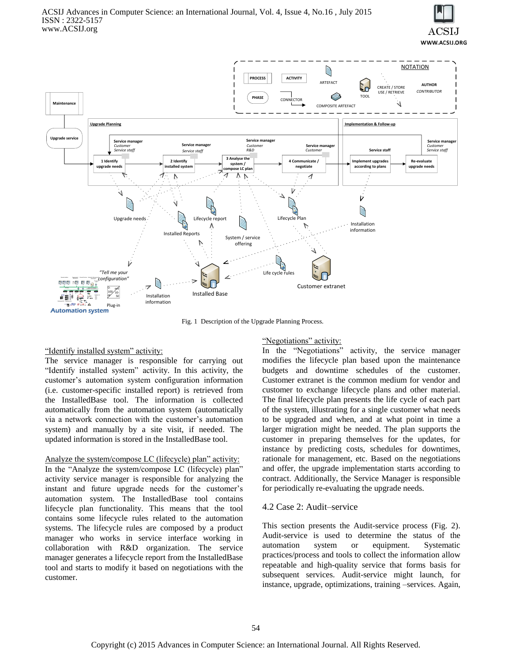



Fig. 1 Description of the Upgrade Planning Process.

#### "Identify installed system" activity:

The service manager is responsible for carrying out "Identify installed system" activity. In this activity, the customer's automation system configuration information (i.e. customer-specific installed report) is retrieved from the InstalledBase tool. The information is collected automatically from the automation system (automatically via a network connection with the customer's automation system) and manually by a site visit, if needed. The updated information is stored in the InstalledBase tool.

Analyze the system/compose LC (lifecycle) plan" activity: In the "Analyze the system/compose LC (lifecycle) plan" activity service manager is responsible for analyzing the instant and future upgrade needs for the customer's automation system. The InstalledBase tool contains lifecycle plan functionality. This means that the tool contains some lifecycle rules related to the automation systems. The lifecycle rules are composed by a product manager who works in service interface working in collaboration with R&D organization. The service manager generates a lifecycle report from the InstalledBase tool and starts to modify it based on negotiations with the customer.

#### "Negotiations" activity:

In the "Negotiations" activity, the service manager modifies the lifecycle plan based upon the maintenance budgets and downtime schedules of the customer. Customer extranet is the common medium for vendor and customer to exchange lifecycle plans and other material. The final lifecycle plan presents the life cycle of each part of the system, illustrating for a single customer what needs to be upgraded and when, and at what point in time a larger migration might be needed. The plan supports the customer in preparing themselves for the updates, for instance by predicting costs, schedules for downtimes, rationale for management, etc. Based on the negotiations and offer, the upgrade implementation starts according to contract. Additionally, the Service Manager is responsible for periodically re-evaluating the upgrade needs.

#### 4.2 Case 2: Audit–service

This section presents the Audit-service process (Fig. 2). Audit-service is used to determine the status of the automation system or equipment. Systematic practices/process and tools to collect the information allow repeatable and high-quality service that forms basis for subsequent services. Audit-service might launch, for instance, upgrade, optimizations, training –services. Again,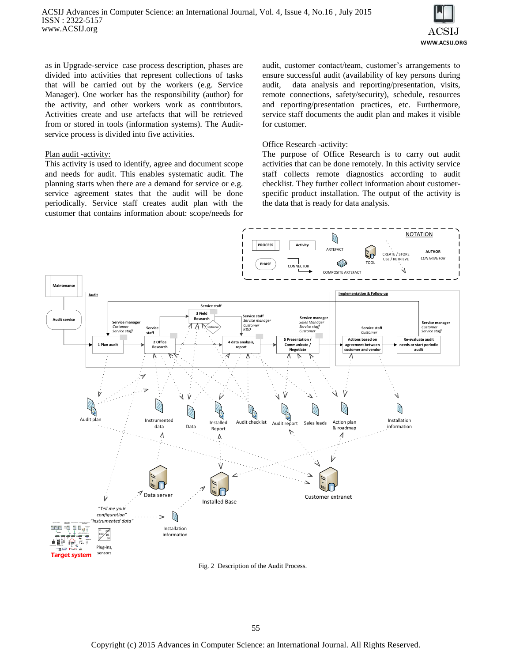

as in Upgrade-service–case process description, phases are divided into activities that represent collections of tasks that will be carried out by the workers (e.g. Service Manager). One worker has the responsibility (author) for the activity, and other workers work as contributors. Activities create and use artefacts that will be retrieved from or stored in tools (information systems). The Auditservice process is divided into five activities.

#### Plan audit -activity:

This activity is used to identify, agree and document scope and needs for audit. This enables systematic audit. The planning starts when there are a demand for service or e.g. service agreement states that the audit will be done periodically. Service staff creates audit plan with the customer that contains information about: scope/needs for

audit, customer contact/team, customer's arrangements to ensure successful audit (availability of key persons during audit, data analysis and reporting/presentation, visits, remote connections, safety/security), schedule, resources and reporting/presentation practices, etc. Furthermore, service staff documents the audit plan and makes it visible for customer.

#### **Office Research -activity:**

The purpose of Office Research is to carry out audit activities that can be done remotely. In this activity service staff collects remote diagnostics according to audit checklist. They further collect information about customerspecific product installation. The output of the activity is the data that is ready for data analysis.



Fig. 2 Description of the Audit Process.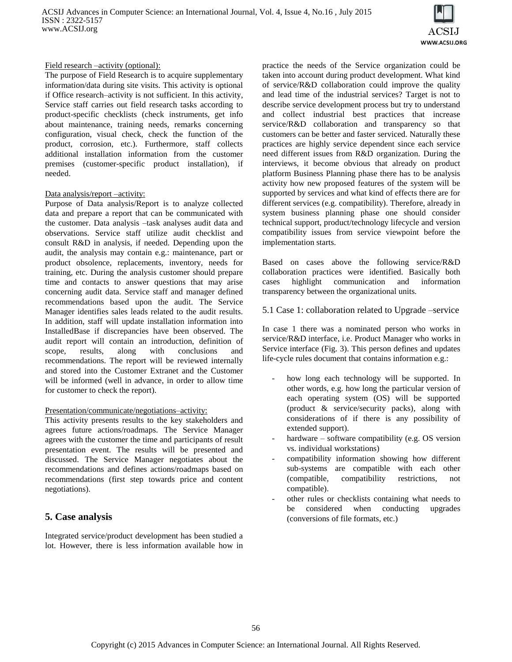

## Field research –activity (optional):

The purpose of Field Research is to acquire supplementary information/data during site visits. This activity is optional if Office research–activity is not sufficient. In this activity, Service staff carries out field research tasks according to product-specific checklists (check instruments, get info about maintenance, training needs, remarks concerning configuration, visual check, check the function of the product, corrosion, etc.). Furthermore, staff collects additional installation information from the customer premises (customer-specific product installation), if needed.

## Data analysis/report –activity:

Purpose of Data analysis/Report is to analyze collected data and prepare a report that can be communicated with the customer. Data analysis –task analyses audit data and observations. Service staff utilize audit checklist and consult R&D in analysis, if needed. Depending upon the audit, the analysis may contain e.g.: maintenance, part or product obsolence, replacements, inventory, needs for training, etc. During the analysis customer should prepare time and contacts to answer questions that may arise concerning audit data. Service staff and manager defined recommendations based upon the audit. The Service Manager identifies sales leads related to the audit results. In addition, staff will update installation information into InstalledBase if discrepancies have been observed. The audit report will contain an introduction, definition of scope, results, along with conclusions and recommendations. The report will be reviewed internally and stored into the Customer Extranet and the Customer will be informed (well in advance, in order to allow time for customer to check the report).

#### Presentation/communicate/negotiations–activity:

This activity presents results to the key stakeholders and agrees future actions/roadmaps. The Service Manager agrees with the customer the time and participants of result presentation event. The results will be presented and discussed. The Service Manager negotiates about the recommendations and defines actions/roadmaps based on recommendations (first step towards price and content negotiations).

# **5. Case analysis**

Integrated service/product development has been studied a lot. However, there is less information available how in

practice the needs of the Service organization could be taken into account during product development. What kind of service/R&D collaboration could improve the quality and lead time of the industrial services? Target is not to describe service development process but try to understand and collect industrial best practices that increase service/R&D collaboration and transparency so that customers can be better and faster serviced. Naturally these practices are highly service dependent since each service need different issues from R&D organization. During the interviews, it become obvious that already on product platform Business Planning phase there has to be analysis activity how new proposed features of the system will be supported by services and what kind of effects there are for different services (e.g. compatibility). Therefore, already in system business planning phase one should consider technical support, product/technology lifecycle and version compatibility issues from service viewpoint before the implementation starts.

Based on cases above the following service/R&D collaboration practices were identified. Basically both cases highlight communication and information transparency between the organizational units.

5.1 Case 1: collaboration related to Upgrade –service

In case 1 there was a nominated person who works in service/R&D interface, i.e. Product Manager who works in Service interface (Fig. 3). This person defines and updates life-cycle rules document that contains information e.g.:

- how long each technology will be supported. In other words, e.g. how long the particular version of each operating system (OS) will be supported (product & service/security packs), along with considerations of if there is any possibility of extended support).
- hardware software compatibility (e.g. OS version vs. individual workstations)
- compatibility information showing how different sub-systems are compatible with each other (compatible, compatibility restrictions, not compatible).
- other rules or checklists containing what needs to be considered when conducting upgrades (conversions of file formats, etc.)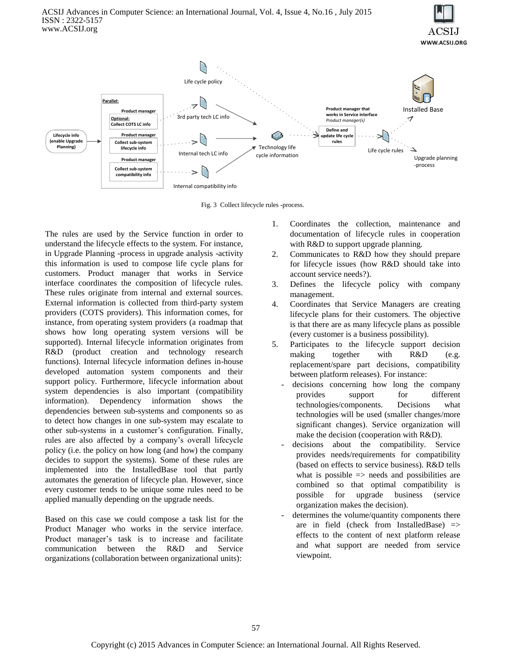



Fig. 3 Collect lifecycle rules -process.

The rules are used by the Service function in order to understand the lifecycle effects to the system. For instance, in Upgrade Planning -process in upgrade analysis -activity this information is used to compose life cycle plans for customers. Product manager that works in Service interface coordinates the composition of lifecycle rules. These rules originate from internal and external sources. External information is collected from third-party system providers (COTS providers). This information comes, for instance, from operating system providers (a roadmap that shows how long operating system versions will be supported). Internal lifecycle information originates from R&D (product creation and technology research functions). Internal lifecycle information defines in-house developed automation system components and their support policy. Furthermore, lifecycle information about system dependencies is also important (compatibility information). Dependency information shows the dependencies between sub-systems and components so as to detect how changes in one sub-system may escalate to other sub-systems in a customer's configuration. Finally, rules are also affected by a company's overall lifecycle policy (i.e. the policy on how long (and how) the company decides to support the systems). Some of these rules are implemented into the InstalledBase tool that partly automates the generation of lifecycle plan. However, since every customer tends to be unique some rules need to be applied manually depending on the upgrade needs.

Based on this case we could compose a task list for the Product Manager who works in the service interface. Product manager's task is to increase and facilitate communication between the R&D and Service organizations (collaboration between organizational units):

- 1. Coordinates the collection, maintenance and documentation of lifecycle rules in cooperation with R&D to support upgrade planning.
- 2. Communicates to R&D how they should prepare for lifecycle issues (how R&D should take into account service needs?).
- 3. Defines the lifecycle policy with company management.
- 4. Coordinates that Service Managers are creating lifecycle plans for their customers. The objective is that there are as many lifecycle plans as possible (every customer is a business possibility).
- 5. Participates to the lifecycle support decision making together with R&D (e.g. replacement/spare part decisions, compatibility between platform releases). For instance:
	- decisions concerning how long the company provides support for different technologies/components. Decisions what technologies will be used (smaller changes/more significant changes). Service organization will make the decision (cooperation with R&D).
	- decisions about the compatibility. Service provides needs/requirements for compatibility (based on effects to service business). R&D tells what is possible  $\Rightarrow$  needs and possibilities are combined so that optimal compatibility is possible for upgrade business (service organization makes the decision).
	- determines the volume/quantity components there are in field (check from InstalledBase)  $\Rightarrow$ effects to the content of next platform release and what support are needed from service viewpoint.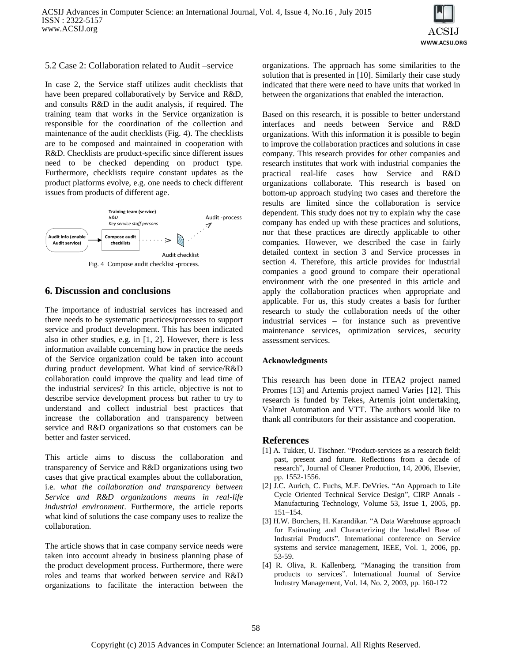

## 5.2 Case 2: Collaboration related to Audit –service

In case 2, the Service staff utilizes audit checklists that have been prepared collaboratively by Service and R&D, and consults R&D in the audit analysis, if required. The training team that works in the Service organization is responsible for the coordination of the collection and maintenance of the audit checklists (Fig. 4). The checklists are to be composed and maintained in cooperation with R&D. Checklists are product-specific since different issues need to be checked depending on product type. Furthermore, checklists require constant updates as the product platforms evolve, e.g. one needs to check different issues from products of different age.



# **6. Discussion and conclusions**

The importance of industrial services has increased and there needs to be systematic practices/processes to support service and product development. This has been indicated also in other studies, e.g. in [1, 2]. However, there is less information available concerning how in practice the needs of the Service organization could be taken into account during product development. What kind of service/R&D collaboration could improve the quality and lead time of the industrial services? In this article, objective is not to describe service development process but rather to try to understand and collect industrial best practices that increase the collaboration and transparency between service and R&D organizations so that customers can be better and faster serviced.

This article aims to discuss the collaboration and transparency of Service and R&D organizations using two cases that give practical examples about the collaboration, i.e. *what the collaboration and transparency between Service and R&D organizations means in real-life industrial environment*. Furthermore, the article reports what kind of solutions the case company uses to realize the collaboration.

The article shows that in case company service needs were taken into account already in business planning phase of the product development process. Furthermore, there were roles and teams that worked between service and R&D organizations to facilitate the interaction between the

organizations. The approach has some similarities to the solution that is presented in [10]. Similarly their case study indicated that there were need to have units that worked in between the organizations that enabled the interaction.

Based on this research, it is possible to better understand interfaces and needs between Service and R&D organizations. With this information it is possible to begin to improve the collaboration practices and solutions in case company. This research provides for other companies and research institutes that work with industrial companies the practical real-life cases how Service and R&D organizations collaborate. This research is based on bottom-up approach studying two cases and therefore the results are limited since the collaboration is service dependent. This study does not try to explain why the case company has ended up with these practices and solutions, nor that these practices are directly applicable to other companies. However, we described the case in fairly detailed context in section 3 and Service processes in section 4. Therefore, this article provides for industrial companies a good ground to compare their operational environment with the one presented in this article and apply the collaboration practices when appropriate and applicable. For us, this study creates a basis for further research to study the collaboration needs of the other industrial services – for instance such as preventive maintenance services, optimization services, security assessment services.

#### **Acknowledgments**

This research has been done in ITEA2 project named Promes [13] and Artemis project named Varies [12]. This research is funded by Tekes, Artemis joint undertaking, Valmet Automation and VTT. The authors would like to thank all contributors for their assistance and cooperation.

# **References**

- [1] A. Tukker, U. Tischner. "Product-services as a research field: past, present and future. Reflections from a decade of research", Journal of Cleaner Production, 14, 2006, Elsevier, pp. 1552-1556.
- [2] J.C. Aurich, C. Fuchs, M.F. DeVries. "An Approach to Life Cycle Oriented Technical Service Design", CIRP Annals - Manufacturing Technology, Volume 53, Issue 1, 2005, pp. 151–154.
- [3] H.W. Borchers, H. Karandikar. "A Data Warehouse approach for Estimating and Characterizing the Installed Base of Industrial Products". International conference on Service systems and service management, IEEE, Vol. 1, 2006, pp. 53-59.
- [4] R. Oliva, R. Kallenberg. "Managing the transition from products to services". International Journal of Service Industry Management, Vol. 14, No. 2, 2003, pp. 160-172